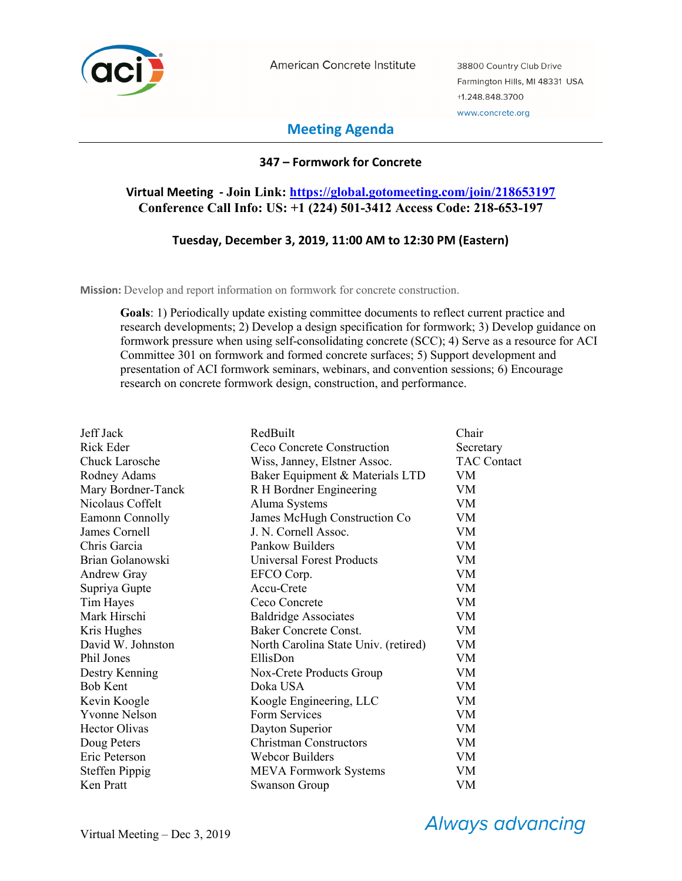

American Concrete Institute

38800 Country Club Drive Farmington Hills, MI 48331 USA +1.248.848.3700 www.concrete.org

# **Meeting Agenda**

## **347 – Formwork for Concrete**

# **Virtual Meeting - Join Link: https://global.gotomeeting.com/join/218653197 Conference Call Info: US: +1 (224) 501-3412 Access Code: 218-653-197**

## **Tuesday, December 3, 2019, 11:00 AM to 12:30 PM (Eastern)**

**Mission:** Develop and report information on formwork for concrete construction.

**Goals**: 1) Periodically update existing committee documents to reflect current practice and research developments; 2) Develop a design specification for formwork; 3) Develop guidance on formwork pressure when using self-consolidating concrete (SCC); 4) Serve as a resource for ACI Committee 301 on formwork and formed concrete surfaces; 5) Support development and presentation of ACI formwork seminars, webinars, and convention sessions; 6) Encourage research on concrete formwork design, construction, and performance.

| Jeff Jack             | RedBuilt                             | Chair              |
|-----------------------|--------------------------------------|--------------------|
| Rick Eder             | Ceco Concrete Construction           | Secretary          |
| Chuck Larosche        | Wiss, Janney, Elstner Assoc.         | <b>TAC Contact</b> |
| Rodney Adams          | Baker Equipment & Materials LTD      | VM.                |
| Mary Bordner-Tanck    | R H Bordner Engineering              | VM                 |
| Nicolaus Coffelt      | Aluma Systems                        | VM                 |
| Eamonn Connolly       | James McHugh Construction Co         | VM                 |
| James Cornell         | J. N. Cornell Assoc.                 | VM                 |
| Chris Garcia          | Pankow Builders                      | VM                 |
| Brian Golanowski      | <b>Universal Forest Products</b>     | VM                 |
| <b>Andrew Gray</b>    | EFCO Corp.                           | <b>VM</b>          |
| Supriya Gupte         | Accu-Crete                           | VM.                |
| Tim Hayes             | Ceco Concrete                        | VM                 |
| Mark Hirschi          | <b>Baldridge Associates</b>          | VM.                |
| Kris Hughes           | Baker Concrete Const.                | VM                 |
| David W. Johnston     | North Carolina State Univ. (retired) | VM                 |
| Phil Jones            | EllisDon                             | VM                 |
| Destry Kenning        | Nox-Crete Products Group             | VM                 |
| Bob Kent              | Doka USA                             | VM                 |
| Kevin Koogle          | Koogle Engineering, LLC              | VM                 |
| <b>Yvonne Nelson</b>  | Form Services                        | VM                 |
| <b>Hector Olivas</b>  | Dayton Superior                      | VM                 |
| Doug Peters           | <b>Christman Constructors</b>        | <b>VM</b>          |
| Eric Peterson         | <b>Webcor Builders</b>               | VM                 |
| <b>Steffen Pippig</b> | <b>MEVA Formwork Systems</b>         | VM                 |
| Ken Pratt             | Swanson Group                        | VM                 |

**Always advancing**